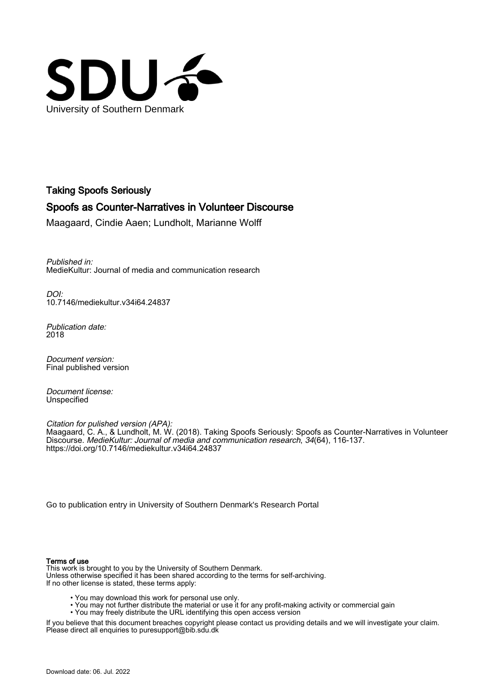

Taking Spoofs Seriously

# Spoofs as Counter-Narratives in Volunteer Discourse

Maagaard, Cindie Aaen; Lundholt, Marianne Wolff

Published in: MedieKultur: Journal of media and communication research

DOI: [10.7146/mediekultur.v34i64.24837](https://doi.org/10.7146/mediekultur.v34i64.24837)

Publication date: 2018

Document version: Final published version

Document license: Unspecified

Citation for pulished version (APA): Maagaard, C. A., & Lundholt, M. W. (2018). Taking Spoofs Seriously: Spoofs as Counter-Narratives in Volunteer Discourse. MedieKultur: Journal of media and communication research, 34(64), 116-137. <https://doi.org/10.7146/mediekultur.v34i64.24837>

[Go to publication entry in University of Southern Denmark's Research Portal](https://portal.findresearcher.sdu.dk/en/publications/6139004c-db8b-4e15-b17d-fd46ffbd6df2)

#### Terms of use

This work is brought to you by the University of Southern Denmark. Unless otherwise specified it has been shared according to the terms for self-archiving. If no other license is stated, these terms apply:

- You may download this work for personal use only.
- You may not further distribute the material or use it for any profit-making activity or commercial gain
- You may freely distribute the URL identifying this open access version

If you believe that this document breaches copyright please contact us providing details and we will investigate your claim. Please direct all enquiries to puresupport@bib.sdu.dk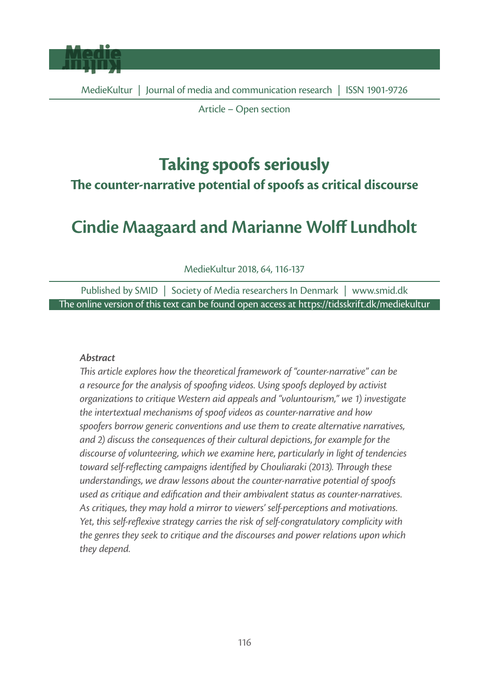

Article – Open section

# **Taking spoofs seriously**

# **The counter-narrative potential of spoofs as critical discourse**

# **Cindie Maagaard and Marianne Wolff Lundholt**

MedieKultur 2018, 64, 116-137

Published by SMID | Society of Media researchers In Denmark | www.smid.dk The online version of this text can be found open access at https://tidsskrift.dk/mediekultur

#### *Abstract*

*This article explores how the theoretical framework of "counter-narrative" can be a resource for the analysis of spoofi ng videos. Using spoofs deployed by activist organizations to critique Western aid appeals and "voluntourism," we 1) investigate the intertextual mechanisms of spoof videos as counter-narrative and how spoofers borrow generic conventions and use them to create alternative narratives, and 2) discuss the consequences of their cultural depictions, for example for the discourse of volunteering, which we examine here, particularly in light of tendencies*  toward self-reflecting campaigns identified by Chouliaraki (2013). Through these *understandings, we draw lessons about the counter-narrative potential of spoofs*  used as critique and edification and their ambivalent status as counter-narratives. *As critiques, they may hold a mirror to viewers' self-perceptions and motivations. Yet, this self-reflexive strategy carries the risk of self-congratulatory complicity with the genres they seek to critique and the discourses and power relations upon which they depend.*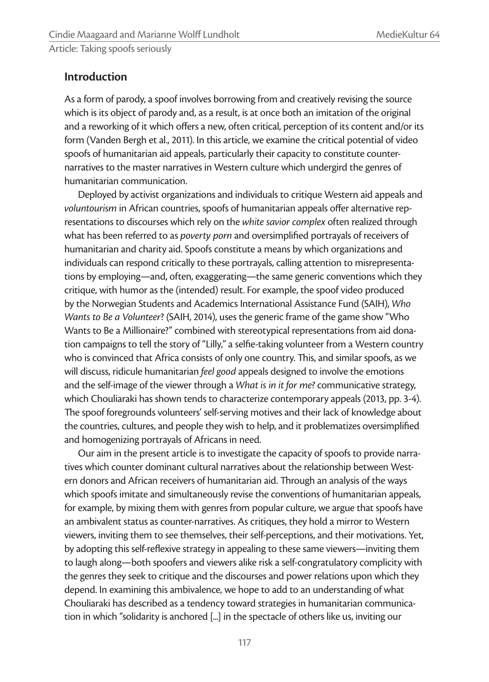### **Introduction**

As a form of parody, a spoof involves borrowing from and creatively revising the source which is its object of parody and, as a result, is at once both an imitation of the original and a reworking of it which offers a new, often critical, perception of its content and/or its form (Vanden Bergh et al., 2011). In this article, we examine the critical potential of video spoofs of humanitarian aid appeals, particularly their capacity to constitute counternarratives to the master narratives in Western culture which undergird the genres of humanitarian communication.

Deployed by activist organizations and individuals to critique Western aid appeals and *voluntourism* in African countries, spoofs of humanitarian appeals offer alternative representations to discourses which rely on the *white savior complex* often realized through what has been referred to as *poverty porn* and oversimplified portrayals of receivers of humanitarian and charity aid. Spoofs constitute a means by which organizations and individuals can respond critically to these portrayals, calling attention to misrepresentations by employing—and, often, exaggerating—the same generic conventions which they critique, with humor as the (intended) result. For example, the spoof video produced by the Norwegian Students and Academics International Assistance Fund (SAIH), *Who Wants to Be a Volunteer*? (SAIH, 2014), uses the generic frame of the game show "Who Wants to Be a Millionaire?" combined with stereotypical representations from aid donation campaigns to tell the story of "Lilly," a selfie-taking volunteer from a Western country who is convinced that Africa consists of only one country. This, and similar spoofs, as we will discuss, ridicule humanitarian *feel good* appeals designed to involve the emotions and the self-image of the viewer through a *What is in it for me?* communicative strategy, which Chouliaraki has shown tends to characterize contemporary appeals (2013, pp. 3-4). The spoof foregrounds volunteers' self-serving motives and their lack of knowledge about the countries, cultures, and people they wish to help, and it problematizes oversimplified and homogenizing portrayals of Africans in need.

Our aim in the present article is to investigate the capacity of spoofs to provide narratives which counter dominant cultural narratives about the relationship between Western donors and African receivers of humanitarian aid. Through an analysis of the ways which spoofs imitate and simultaneously revise the conventions of humanitarian appeals, for example, by mixing them with genres from popular culture, we argue that spoofs have an ambivalent status as counter-narratives. As critiques, they hold a mirror to Western viewers, inviting them to see themselves, their self-perceptions, and their motivations. Yet, by adopting this self-reflexive strategy in appealing to these same viewers—inviting them to laugh along—both spoofers and viewers alike risk a self-congratulatory complicity with the genres they seek to critique and the discourses and power relations upon which they depend. In examining this ambivalence, we hope to add to an understanding of what Chouliaraki has described as a tendency toward strategies in humanitarian communication in which "solidarity is anchored [...] in the spectacle of others like us, inviting our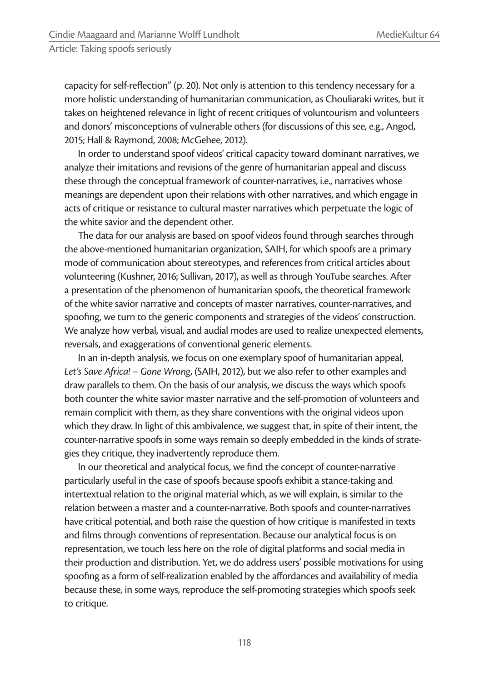capacity for self-reflection" (p. 20). Not only is attention to this tendency necessary for a more holistic understanding of humanitarian communication, as Chouliaraki writes, but it takes on heightened relevance in light of recent critiques of voluntourism and volunteers and donors' misconceptions of vulnerable others (for discussions of this see, e.g., Angod, 2015; Hall & Raymond, 2008; McGehee, 2012).

In order to understand spoof videos' critical capacity toward dominant narratives, we analyze their imitations and revisions of the genre of humanitarian appeal and discuss these through the conceptual framework of counter-narratives, i.e., narratives whose meanings are dependent upon their relations with other narratives, and which engage in acts of critique or resistance to cultural master narratives which perpetuate the logic of the white savior and the dependent other.

The data for our analysis are based on spoof videos found through searches through the above-mentioned humanitarian organization, SAIH, for which spoofs are a primary mode of communication about stereotypes, and references from critical articles about volunteering (Kushner, 2016; Sullivan, 2017), as well as through YouTube searches. After a presentation of the phenomenon of humanitarian spoofs, the theoretical framework of the white savior narrative and concepts of master narratives, counter-narratives, and spoofing, we turn to the generic components and strategies of the videos' construction. We analyze how verbal, visual, and audial modes are used to realize unexpected elements, reversals, and exaggerations of conventional generic elements.

In an in-depth analysis, we focus on one exemplary spoof of humanitarian appeal, *Let's Save Africa! – Gone Wrong*, (SAIH, 2012), but we also refer to other examples and draw parallels to them. On the basis of our analysis, we discuss the ways which spoofs both counter the white savior master narrative and the self-promotion of volunteers and remain complicit with them, as they share conventions with the original videos upon which they draw. In light of this ambivalence, we suggest that, in spite of their intent, the counter-narrative spoofs in some ways remain so deeply embedded in the kinds of strategies they critique, they inadvertently reproduce them.

In our theoretical and analytical focus, we find the concept of counter-narrative particularly useful in the case of spoofs because spoofs exhibit a stance-taking and intertextual relation to the original material which, as we will explain, is similar to the relation between a master and a counter-narrative. Both spoofs and counter-narratives have critical potential, and both raise the question of how critique is manifested in texts and films through conventions of representation. Because our analytical focus is on representation, we touch less here on the role of digital platforms and social media in their production and distribution. Yet, we do address users' possible motivations for using spoofing as a form of self-realization enabled by the affordances and availability of media because these, in some ways, reproduce the self-promoting strategies which spoofs seek to critique.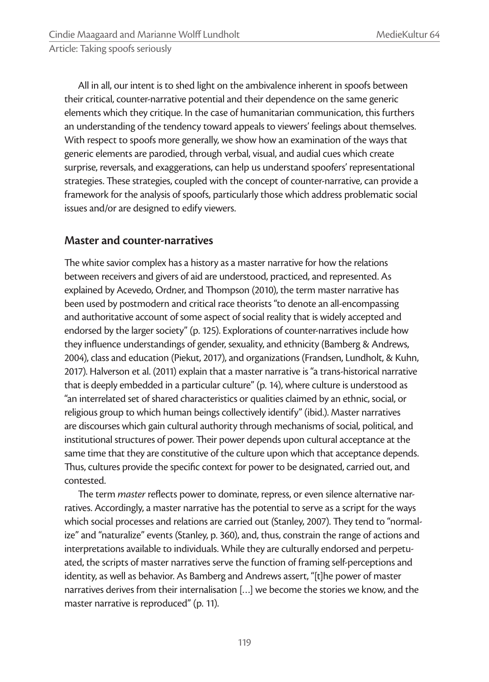All in all, our intent is to shed light on the ambivalence inherent in spoofs between their critical, counter-narrative potential and their dependence on the same generic elements which they critique. In the case of humanitarian communication, this furthers an understanding of the tendency toward appeals to viewers' feelings about themselves. With respect to spoofs more generally, we show how an examination of the ways that generic elements are parodied, through verbal, visual, and audial cues which create surprise, reversals, and exaggerations, can help us understand spoofers' representational strategies. These strategies, coupled with the concept of counter-narrative, can provide a framework for the analysis of spoofs, particularly those which address problematic social issues and/or are designed to edify viewers.

## **Master and counter-narratives**

The white savior complex has a history as a master narrative for how the relations between receivers and givers of aid are understood, practiced, and represented. As explained by Acevedo, Ordner, and Thompson (2010), the term master narrative has been used by postmodern and critical race theorists "to denote an all-encompassing and authoritative account of some aspect of social reality that is widely accepted and endorsed by the larger society" (p. 125). Explorations of counter-narratives include how they influence understandings of gender, sexuality, and ethnicity (Bamberg & Andrews, 2004), class and education (Piekut, 2017), and organizations (Frandsen, Lundholt, & Kuhn, 2017). Halverson et al. (2011) explain that a master narrative is "a trans-historical narrative that is deeply embedded in a particular culture" (p. 14), where culture is understood as "an interrelated set of shared characteristics or qualities claimed by an ethnic, social, or religious group to which human beings collectively identify" (ibid.). Master narratives are discourses which gain cultural authority through mechanisms of social, political, and institutional structures of power. Their power depends upon cultural acceptance at the same time that they are constitutive of the culture upon which that acceptance depends. Thus, cultures provide the specific context for power to be designated, carried out, and contested.

The term *master* reflects power to dominate, repress, or even silence alternative narratives. Accordingly, a master narrative has the potential to serve as a script for the ways which social processes and relations are carried out (Stanley, 2007). They tend to "normalize" and "naturalize" events (Stanley, p. 360), and, thus, constrain the range of actions and interpretations available to individuals. While they are culturally endorsed and perpetuated, the scripts of master narratives serve the function of framing self-perceptions and identity, as well as behavior. As Bamberg and Andrews assert, "[t]he power of master narratives derives from their internalisation […] we become the stories we know, and the master narrative is reproduced" (p. 11).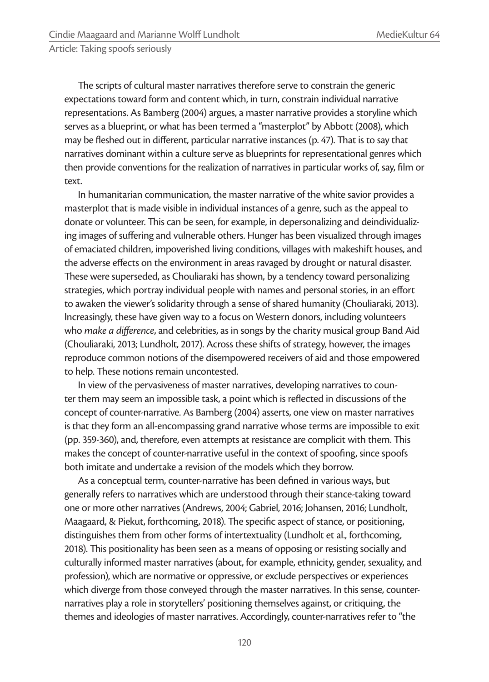The scripts of cultural master narratives therefore serve to constrain the generic expectations toward form and content which, in turn, constrain individual narrative representations. As Bamberg (2004) argues, a master narrative provides a storyline which serves as a blueprint, or what has been termed a "masterplot" by Abbott (2008), which may be fleshed out in different, particular narrative instances (p. 47). That is to say that narratives dominant within a culture serve as blueprints for representational genres which then provide conventions for the realization of narratives in particular works of, say, film or text.

In humanitarian communication, the master narrative of the white savior provides a masterplot that is made visible in individual instances of a genre, such as the appeal to donate or volunteer. This can be seen, for example, in depersonalizing and deindividualizing images of suffering and vulnerable others. Hunger has been visualized through images of emaciated children, impoverished living conditions, villages with makeshift houses, and the adverse effects on the environment in areas ravaged by drought or natural disaster. These were superseded, as Chouliaraki has shown, by a tendency toward personalizing strategies, which portray individual people with names and personal stories, in an effort to awaken the viewer's solidarity through a sense of shared humanity (Chouliaraki, 2013). Increasingly, these have given way to a focus on Western donors, including volunteers who *make a difference*, and celebrities, as in songs by the charity musical group Band Aid (Chouliaraki, 2013; Lundholt, 2017). Across these shifts of strategy, however, the images reproduce common notions of the disempowered receivers of aid and those empowered to help. These notions remain uncontested.

In view of the pervasiveness of master narratives, developing narratives to counter them may seem an impossible task, a point which is reflected in discussions of the concept of counter-narrative. As Bamberg (2004) asserts, one view on master narratives is that they form an all-encompassing grand narrative whose terms are impossible to exit (pp. 359-360), and, therefore, even attempts at resistance are complicit with them. This makes the concept of counter-narrative useful in the context of spoofing, since spoofs both imitate and undertake a revision of the models which they borrow.

As a conceptual term, counter-narrative has been defined in various ways, but generally refers to narratives which are understood through their stance-taking toward one or more other narratives (Andrews, 2004; Gabriel, 2016; Johansen, 2016; Lundholt, Maagaard, & Piekut, forthcoming, 2018). The specific aspect of stance, or positioning, distinguishes them from other forms of intertextuality (Lundholt et al., forthcoming, 2018). This positionality has been seen as a means of opposing or resisting socially and culturally informed master narratives (about, for example, ethnicity, gender, sexuality, and profession), which are normative or oppressive, or exclude perspectives or experiences which diverge from those conveyed through the master narratives. In this sense, counternarratives play a role in storytellers' positioning themselves against, or critiquing, the themes and ideologies of master narratives. Accordingly, counter-narratives refer to "the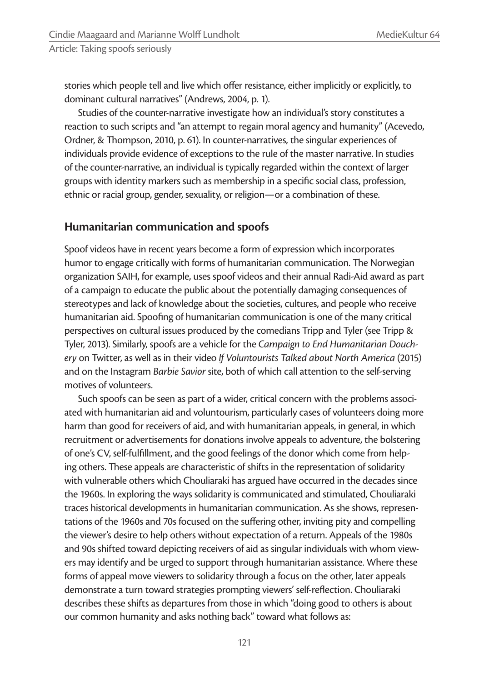stories which people tell and live which offer resistance, either implicitly or explicitly, to dominant cultural narratives" (Andrews, 2004, p. 1).

Studies of the counter-narrative investigate how an individual's story constitutes a reaction to such scripts and "an attempt to regain moral agency and humanity" (Acevedo, Ordner, & Thompson, 2010, p. 61). In counter-narratives, the singular experiences of individuals provide evidence of exceptions to the rule of the master narrative. In studies of the counter-narrative, an individual is typically regarded within the context of larger groups with identity markers such as membership in a specific social class, profession, ethnic or racial group, gender, sexuality, or religion—or a combination of these.

## **Humanitarian communication and spoofs**

Spoof videos have in recent years become a form of expression which incorporates humor to engage critically with forms of humanitarian communication. The Norwegian organization SAIH, for example, uses spoof videos and their annual Radi-Aid award as part of a campaign to educate the public about the potentially damaging consequences of stereotypes and lack of knowledge about the societies, cultures, and people who receive humanitarian aid. Spoofing of humanitarian communication is one of the many critical perspectives on cultural issues produced by the comedians Tripp and Tyler (see Tripp & Tyler, 2013). Similarly, spoofs are a vehicle for the *Campaign to End Humanitarian Douchery* on Twitter, as well as in their video *If Voluntourists Talked about North America* (2015) and on the Instagram *Barbie Savior* site, both of which call attention to the self-serving motives of volunteers.

Such spoofs can be seen as part of a wider, critical concern with the problems associated with humanitarian aid and voluntourism, particularly cases of volunteers doing more harm than good for receivers of aid, and with humanitarian appeals, in general, in which recruitment or advertisements for donations involve appeals to adventure, the bolstering of one's CV, self-fulfillment, and the good feelings of the donor which come from helping others. These appeals are characteristic of shifts in the representation of solidarity with vulnerable others which Chouliaraki has argued have occurred in the decades since the 1960s. In exploring the ways solidarity is communicated and stimulated, Chouliaraki traces historical developments in humanitarian communication. As she shows, representations of the 1960s and 70s focused on the suffering other, inviting pity and compelling the viewer's desire to help others without expectation of a return. Appeals of the 1980s and 90s shifted toward depicting receivers of aid as singular individuals with whom viewers may identify and be urged to support through humanitarian assistance. Where these forms of appeal move viewers to solidarity through a focus on the other, later appeals demonstrate a turn toward strategies prompting viewers' self-reflection. Chouliaraki describes these shifts as departures from those in which "doing good to others is about our common humanity and asks nothing back" toward what follows as: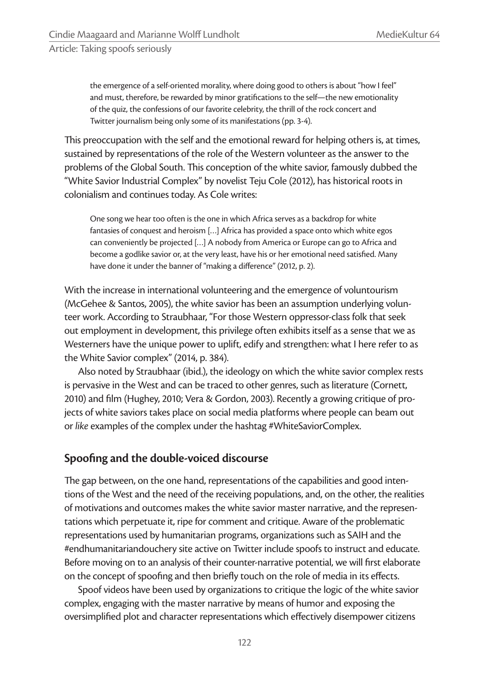the emergence of a self-oriented morality, where doing good to others is about "how I feel" and must, therefore, be rewarded by minor gratifications to the self-the new emotionality of the quiz, the confessions of our favorite celebrity, the thrill of the rock concert and Twitter journalism being only some of its manifestations (pp. 3-4).

This preoccupation with the self and the emotional reward for helping others is, at times, sustained by representations of the role of the Western volunteer as the answer to the problems of the Global South. This conception of the white savior, famously dubbed the "White Savior Industrial Complex" by novelist Teju Cole (2012), has historical roots in colonialism and continues today. As Cole writes:

One song we hear too often is the one in which Africa serves as a backdrop for white fantasies of conquest and heroism […] Africa has provided a space onto which white egos can conveniently be projected […] A nobody from America or Europe can go to Africa and become a godlike savior or, at the very least, have his or her emotional need satisfied. Many have done it under the banner of "making a difference" (2012, p. 2).

With the increase in international volunteering and the emergence of voluntourism (McGehee & Santos, 2005), the white savior has been an assumption underlying volunteer work. According to Straubhaar, "For those Western oppressor-class folk that seek out employment in development, this privilege often exhibits itself as a sense that we as Westerners have the unique power to uplift, edify and strengthen: what I here refer to as the White Savior complex" (2014, p. 384).

Also noted by Straubhaar (ibid.), the ideology on which the white savior complex rests is pervasive in the West and can be traced to other genres, such as literature (Cornett, 2010) and film (Hughey, 2010; Vera & Gordon, 2003). Recently a growing critique of projects of white saviors takes place on social media platforms where people can beam out or *like* examples of the complex under the hashtag #WhiteSaviorComplex.

# **Spoofing and the double-voiced discourse**

The gap between, on the one hand, representations of the capabilities and good intentions of the West and the need of the receiving populations, and, on the other, the realities of motivations and outcomes makes the white savior master narrative, and the representations which perpetuate it, ripe for comment and critique. Aware of the problematic representations used by humanitarian programs, organizations such as SAIH and the #endhumanitariandouchery site active on Twitter include spoofs to instruct and educate. Before moving on to an analysis of their counter-narrative potential, we will first elaborate on the concept of spoofing and then briefly touch on the role of media in its effects.

Spoof videos have been used by organizations to critique the logic of the white savior complex, engaging with the master narrative by means of humor and exposing the oversimplified plot and character representations which effectively disempower citizens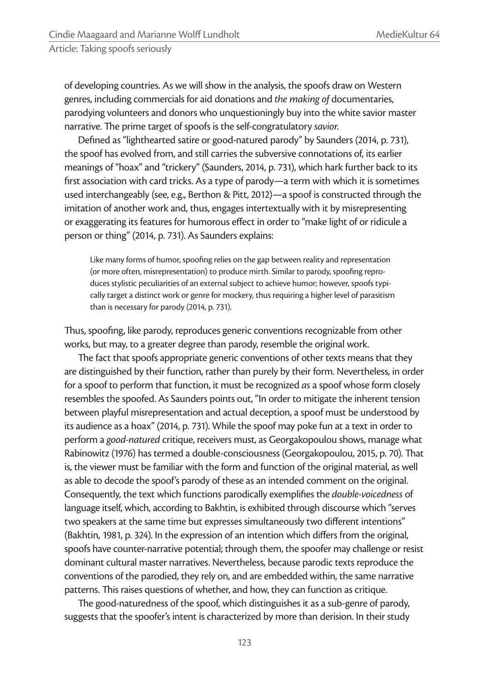of developing countries. As we will show in the analysis, the spoofs draw on Western genres, including commercials for aid donations and *the making of* documentaries, parodying volunteers and donors who unquestioningly buy into the white savior master narrative. The prime target of spoofs is the self-congratulatory *savior*.

Defined as "lighthearted satire or good-natured parody" by Saunders (2014, p. 731), the spoof has evolved from, and still carries the subversive connotations of, its earlier meanings of "hoax" and "trickery" (Saunders, 2014, p. 731), which hark further back to its first association with card tricks. As a type of parody—a term with which it is sometimes used interchangeably (see, e.g., Berthon & Pitt, 2012)—a spoof is constructed through the imitation of another work and, thus, engages intertextually with it by misrepresenting or exaggerating its features for humorous effect in order to "make light of or ridicule a person or thing" (2014, p. 731). As Saunders explains:

Like many forms of humor, spoofing relies on the gap between reality and representation (or more often, misrepresentation) to produce mirth. Similar to parody, spoofing reproduces stylistic peculiarities of an external subject to achieve humor; however, spoofs typically target a distinct work or genre for mockery, thus requiring a higher level of parasitism than is necessary for parody (2014, p. 731).

Thus, spoofing, like parody, reproduces generic conventions recognizable from other works, but may, to a greater degree than parody, resemble the original work.

The fact that spoofs appropriate generic conventions of other texts means that they are distinguished by their function, rather than purely by their form. Nevertheless, in order for a spoof to perform that function, it must be recognized *as* a spoof whose form closely resembles the spoofed. As Saunders points out, "In order to mitigate the inherent tension between playful misrepresentation and actual deception, a spoof must be understood by its audience as a hoax" (2014, p. 731). While the spoof may poke fun at a text in order to perform a *good-natured* critique, receivers must, as Georgakopoulou shows, manage what Rabinowitz (1976) has termed a double-consciousness (Georgakopoulou, 2015, p. 70). That is, the viewer must be familiar with the form and function of the original material, as well as able to decode the spoof's parody of these as an intended comment on the original. Consequently, the text which functions parodically exemplifies the *double-voicedness* of language itself, which, according to Bakhtin, is exhibited through discourse which "serves two speakers at the same time but expresses simultaneously two different intentions" (Bakhtin, 1981, p. 324). In the expression of an intention which differs from the original, spoofs have counter-narrative potential; through them, the spoofer may challenge or resist dominant cultural master narratives. Nevertheless, because parodic texts reproduce the conventions of the parodied, they rely on, and are embedded within, the same narrative patterns. This raises questions of whether, and how, they can function as critique.

The good-naturedness of the spoof, which distinguishes it as a sub-genre of parody, suggests that the spoofer's intent is characterized by more than derision. In their study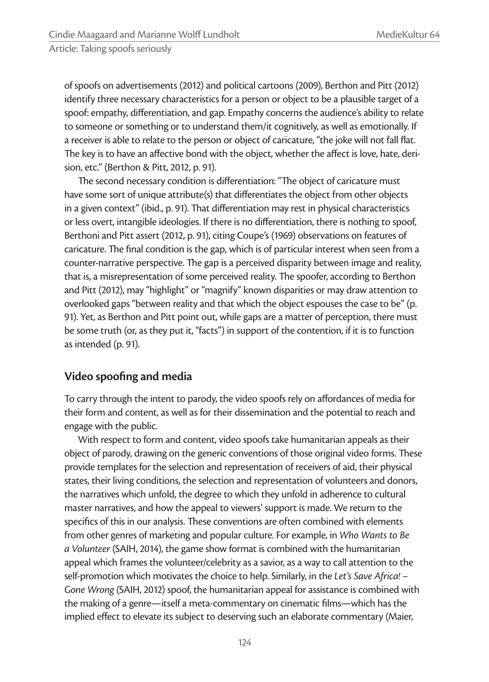of spoofs on advertisements (2012) and political cartoons (2009), Berthon and Pitt (2012) identify three necessary characteristics for a person or object to be a plausible target of a spoof: empathy, differentiation, and gap. Empathy concerns the audience's ability to relate to someone or something or to understand them/it cognitively, as well as emotionally. If a receiver is able to relate to the person or object of caricature, "the joke will not fall flat. The key is to have an affective bond with the object, whether the affect is love, hate, derision, etc." (Berthon & Pitt, 2012, p. 91).

The second necessary condition is differentiation: "The object of caricature must have some sort of unique attribute(s) that differentiates the object from other objects in a given context" (ibid., p. 91). That differentiation may rest in physical characteristics or less overt, intangible ideologies. If there is no differentiation, there is nothing to spoof, Berthoni and Pitt assert (2012, p. 91), citing Coupe's (1969) observations on features of caricature. The final condition is the gap, which is of particular interest when seen from a counter-narrative perspective. The gap is a perceived disparity between image and reality, that is, a misrepresentation of some perceived reality. The spoofer, according to Berthon and Pitt (2012), may "highlight" or "magnify" known disparities or may draw attention to overlooked gaps "between reality and that which the object espouses the case to be" (p. 91). Yet, as Berthon and Pitt point out, while gaps are a matter of perception, there must be some truth (or, as they put it, "facts") in support of the contention, if it is to function as intended (p. 91).

# **Video spoofing and media**

To carry through the intent to parody, the video spoofs rely on affordances of media for their form and content, as well as for their dissemination and the potential to reach and engage with the public.

With respect to form and content, video spoofs take humanitarian appeals as their object of parody, drawing on the generic conventions of those original video forms. These provide templates for the selection and representation of receivers of aid, their physical states, their living conditions, the selection and representation of volunteers and donors, the narratives which unfold, the degree to which they unfold in adherence to cultural master narratives, and how the appeal to viewers' support is made. We return to the specifics of this in our analysis. These conventions are often combined with elements from other genres of marketing and popular culture. For example, in *Who Wants to Be a Volunteer* (SAIH, 2014), the game show format is combined with the humanitarian appeal which frames the volunteer/celebrity as a savior, as a way to call attention to the self-promotion which motivates the choice to help. Similarly, in the *Let's Save Africa! – Gone Wrong* (SAIH, 2012) spoof, the humanitarian appeal for assistance is combined with the making of a genre—itself a meta-commentary on cinematic films—which has the implied effect to elevate its subject to deserving such an elaborate commentary (Maier,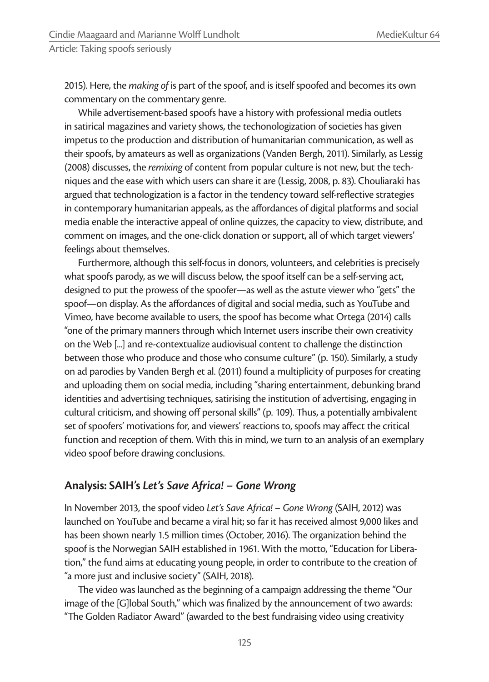2015). Here, the *making of* is part of the spoof, and is itself spoofed and becomes its own commentary on the commentary genre.

While advertisement-based spoofs have a history with professional media outlets in satirical magazines and variety shows, the techonologization of societies has given impetus to the production and distribution of humanitarian communication, as well as their spoofs, by amateurs as well as organizations (Vanden Bergh, 2011). Similarly, as Lessig (2008) discusses, the *remixing* of content from popular culture is not new, but the techniques and the ease with which users can share it are (Lessig, 2008, p. 83). Chouliaraki has argued that technologization is a factor in the tendency toward self-reflective strategies in contemporary humanitarian appeals, as the affordances of digital platforms and social media enable the interactive appeal of online quizzes, the capacity to view, distribute, and comment on images, and the one-click donation or support, all of which target viewers' feelings about themselves.

Furthermore, although this self-focus in donors, volunteers, and celebrities is precisely what spoofs parody, as we will discuss below, the spoof itself can be a self-serving act, designed to put the prowess of the spoofer—as well as the astute viewer who "gets" the spoof—on display. As the affordances of digital and social media, such as YouTube and Vimeo, have become available to users, the spoof has become what Ortega (2014) calls "one of the primary manners through which Internet users inscribe their own creativity on the Web [...] and re-contextualize audiovisual content to challenge the distinction between those who produce and those who consume culture" (p. 150). Similarly, a study on ad parodies by Vanden Bergh et al. (2011) found a multiplicity of purposes for creating and uploading them on social media, including "sharing entertainment, debunking brand identities and advertising techniques, satirising the institution of advertising, engaging in cultural criticism, and showing off personal skills" (p. 109). Thus, a potentially ambivalent set of spoofers' motivations for, and viewers' reactions to, spoofs may affect the critical function and reception of them. With this in mind, we turn to an analysis of an exemplary video spoof before drawing conclusions.

# **Analysis: SAIH's** *Let's Save Africa! – Gone Wrong*

In November 2013, the spoof video *Let's Save Africa! – Gone Wrong* (SAIH, 2012) was launched on YouTube and became a viral hit; so far it has received almost 9,000 likes and has been shown nearly 1.5 million times (October, 2016). The organization behind the spoof is the Norwegian SAIH established in 1961. With the motto, "Education for Liberation," the fund aims at educating young people, in order to contribute to the creation of "a more just and inclusive society" (SAIH, 2018).

The video was launched as the beginning of a campaign addressing the theme "Our image of the [G]lobal South," which was finalized by the announcement of two awards: "The Golden Radiator Award" (awarded to the best fundraising video using creativity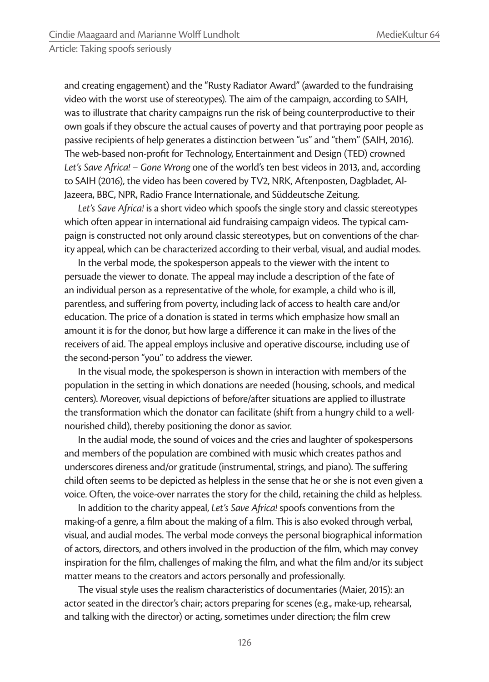and creating engagement) and the "Rusty Radiator Award" (awarded to the fundraising video with the worst use of stereotypes). The aim of the campaign, according to SAIH, was to illustrate that charity campaigns run the risk of being counterproductive to their own goals if they obscure the actual causes of poverty and that portraying poor people as passive recipients of help generates a distinction between "us" and "them" (SAIH, 2016). The web-based non-profit for Technology, Entertainment and Design (TED) crowned *Let's Save Africa! – Gone Wrong* one of the world's ten best videos in 2013, and, according to SAIH (2016), the video has been covered by TV2, NRK, Aftenposten, Dagbladet, Al-Jazeera, BBC, NPR, Radio France Internationale, and Süddeutsche Zeitung.

*Let's Save Africa!* is a short video which spoofs the single story and classic stereotypes which often appear in international aid fundraising campaign videos. The typical campaign is constructed not only around classic stereotypes, but on conventions of the charity appeal, which can be characterized according to their verbal, visual, and audial modes.

In the verbal mode, the spokesperson appeals to the viewer with the intent to persuade the viewer to donate. The appeal may include a description of the fate of an individual person as a representative of the whole, for example, a child who is ill, parentless, and suffering from poverty, including lack of access to health care and/or education. The price of a donation is stated in terms which emphasize how small an amount it is for the donor, but how large a difference it can make in the lives of the receivers of aid. The appeal employs inclusive and operative discourse, including use of the second-person "you" to address the viewer.

In the visual mode, the spokesperson is shown in interaction with members of the population in the setting in which donations are needed (housing, schools, and medical centers). Moreover, visual depictions of before/after situations are applied to illustrate the transformation which the donator can facilitate (shift from a hungry child to a wellnourished child), thereby positioning the donor as savior.

In the audial mode, the sound of voices and the cries and laughter of spokespersons and members of the population are combined with music which creates pathos and underscores direness and/or gratitude (instrumental, strings, and piano). The suffering child often seems to be depicted as helpless in the sense that he or she is not even given a voice. Often, the voice-over narrates the story for the child, retaining the child as helpless.

In addition to the charity appeal, *Let's Save Africa!* spoofs conventions from the making-of a genre, a film about the making of a film. This is also evoked through verbal, visual, and audial modes. The verbal mode conveys the personal biographical information of actors, directors, and others involved in the production of the film, which may convey inspiration for the film, challenges of making the film, and what the film and/or its subject matter means to the creators and actors personally and professionally.

The visual style uses the realism characteristics of documentaries (Maier, 2015): an actor seated in the director's chair; actors preparing for scenes (e.g., make-up, rehearsal, and talking with the director) or acting, sometimes under direction; the film crew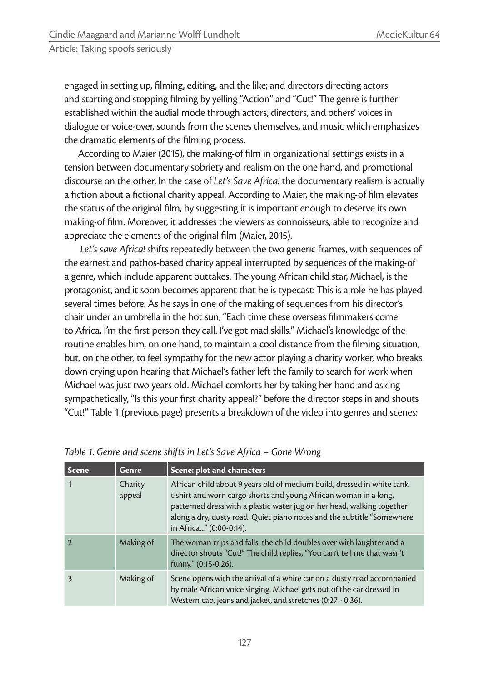engaged in setting up, filming, editing, and the like; and directors directing actors and starting and stopping filming by yelling "Action" and "Cut!" The genre is further established within the audial mode through actors, directors, and others' voices in dialogue or voice-over, sounds from the scenes themselves, and music which emphasizes the dramatic elements of the filming process.

According to Maier (2015), the making-of film in organizational settings exists in a tension between documentary sobriety and realism on the one hand, and promotional discourse on the other. In the case of *Let's Save Africa!* the documentary realism is actually a fiction about a fictional charity appeal. According to Maier, the making-of film elevates the status of the original film, by suggesting it is important enough to deserve its own making-of film. Moreover, it addresses the viewers as connoisseurs, able to recognize and appreciate the elements of the original film (Maier, 2015).

*Let's save Africa!* shifts repeatedly between the two generic frames, with sequences of the earnest and pathos-based charity appeal interrupted by sequences of the making-of a genre, which include apparent outtakes. The young African child star, Michael, is the protagonist, and it soon becomes apparent that he is typecast: This is a role he has played several times before. As he says in one of the making of sequences from his director's chair under an umbrella in the hot sun, "Each time these overseas filmmakers come to Africa, I'm the first person they call. I've got mad skills." Michael's knowledge of the routine enables him, on one hand, to maintain a cool distance from the filming situation, but, on the other, to feel sympathy for the new actor playing a charity worker, who breaks down crying upon hearing that Michael's father left the family to search for work when Michael was just two years old. Michael comforts her by taking her hand and asking sympathetically, "Is this your first charity appeal?" before the director steps in and shouts "Cut!" Table 1 (previous page) presents a breakdown of the video into genres and scenes:

| <b>Scene</b> | <b>Genre</b>      | Scene: plot and characters                                                                                                                                                                                                                                                                                                |
|--------------|-------------------|---------------------------------------------------------------------------------------------------------------------------------------------------------------------------------------------------------------------------------------------------------------------------------------------------------------------------|
|              | Charity<br>appeal | African child about 9 years old of medium build, dressed in white tank<br>t-shirt and worn cargo shorts and young African woman in a long,<br>patterned dress with a plastic water jug on her head, walking together<br>along a dry, dusty road. Quiet piano notes and the subtitle "Somewhere<br>in Africa" (0:00-0:14). |
|              | Making of         | The woman trips and falls, the child doubles over with laughter and a<br>director shouts "Cut!" The child replies, "You can't tell me that wasn't<br>funny." (0:15-0:26).                                                                                                                                                 |
| 3            | Making of         | Scene opens with the arrival of a white car on a dusty road accompanied<br>by male African voice singing. Michael gets out of the car dressed in<br>Western cap, jeans and jacket, and stretches (0:27 - 0:36).                                                                                                           |

#### *Table 1. Genre and scene shifts in Let's Save Africa – Gone Wrong*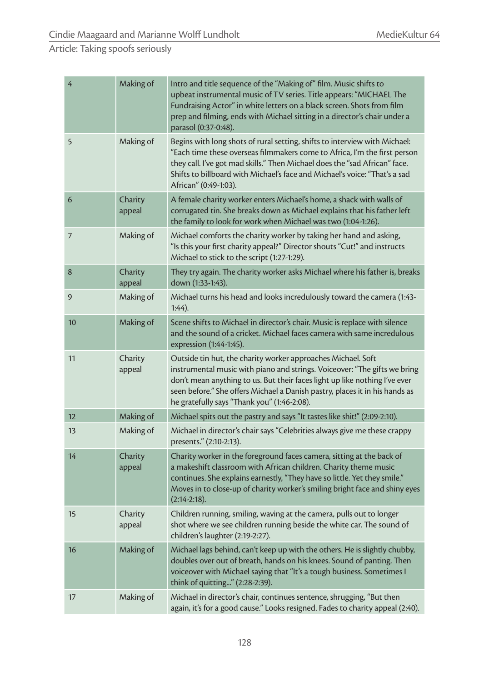| 4  | Making of         | Intro and title sequence of the "Making of" film. Music shifts to<br>upbeat instrumental music of TV series. Title appears: "MICHAEL The<br>Fundraising Actor" in white letters on a black screen. Shots from film<br>prep and filming, ends with Michael sitting in a director's chair under a<br>parasol (0:37-0:48).                               |
|----|-------------------|-------------------------------------------------------------------------------------------------------------------------------------------------------------------------------------------------------------------------------------------------------------------------------------------------------------------------------------------------------|
| 5  | Making of         | Begins with long shots of rural setting, shifts to interview with Michael:<br>"Each time these overseas filmmakers come to Africa, I'm the first person<br>they call. I've got mad skills." Then Michael does the "sad African" face.<br>Shifts to billboard with Michael's face and Michael's voice: "That's a sad<br>African" (0:49-1:03).          |
| 6  | Charity<br>appeal | A female charity worker enters Michael's home, a shack with walls of<br>corrugated tin. She breaks down as Michael explains that his father left<br>the family to look for work when Michael was two (1:04-1:26).                                                                                                                                     |
| 7  | Making of         | Michael comforts the charity worker by taking her hand and asking,<br>"Is this your first charity appeal?" Director shouts "Cut!" and instructs<br>Michael to stick to the script (1:27-1:29).                                                                                                                                                        |
| 8  | Charity<br>appeal | They try again. The charity worker asks Michael where his father is, breaks<br>down (1:33-1:43).                                                                                                                                                                                                                                                      |
| 9  | Making of         | Michael turns his head and looks incredulously toward the camera (1:43-<br>$1:44$ ).                                                                                                                                                                                                                                                                  |
| 10 | Making of         | Scene shifts to Michael in director's chair. Music is replace with silence<br>and the sound of a cricket. Michael faces camera with same incredulous<br>expression (1:44-1:45).                                                                                                                                                                       |
| 11 | Charity<br>appeal | Outside tin hut, the charity worker approaches Michael. Soft<br>instrumental music with piano and strings. Voiceover: "The gifts we bring<br>don't mean anything to us. But their faces light up like nothing I've ever<br>seen before." She offers Michael a Danish pastry, places it in his hands as<br>he gratefully says "Thank you" (1:46-2:08). |
| 12 | Making of         | Michael spits out the pastry and says "It tastes like shit!" (2:09-2:10).                                                                                                                                                                                                                                                                             |
| 13 | Making of         | Michael in director's chair says "Celebrities always give me these crappy<br>presents." (2:10-2:13).                                                                                                                                                                                                                                                  |
| 14 | Charity<br>appeal | Charity worker in the foreground faces camera, sitting at the back of<br>a makeshift classroom with African children. Charity theme music<br>continues. She explains earnestly, "They have so little. Yet they smile."<br>Moves in to close-up of charity worker's smiling bright face and shiny eyes<br>$(2:14-2:18).$                               |
| 15 | Charity<br>appeal | Children running, smiling, waving at the camera, pulls out to longer<br>shot where we see children running beside the white car. The sound of<br>children's laughter (2:19-2:27).                                                                                                                                                                     |
| 16 | Making of         | Michael lags behind, can't keep up with the others. He is slightly chubby,<br>doubles over out of breath, hands on his knees. Sound of panting. Then<br>voiceover with Michael saying that "It's a tough business. Sometimes I<br>think of quitting" (2:28-2:39).                                                                                     |
| 17 | Making of         | Michael in director's chair, continues sentence, shrugging, "But then<br>again, it's for a good cause." Looks resigned. Fades to charity appeal (2:40).                                                                                                                                                                                               |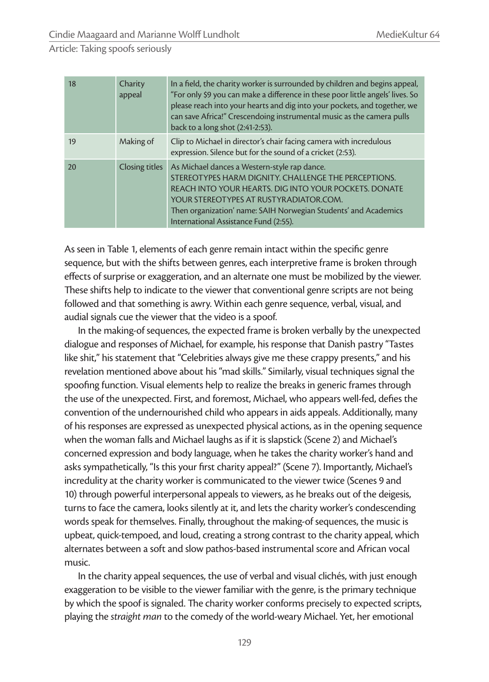| 18 | Charity<br>appeal | In a field, the charity worker is surrounded by children and begins appeal,<br>"For only \$9 you can make a difference in these poor little angels' lives. So<br>please reach into your hearts and dig into your pockets, and together, we<br>can save Africa!" Crescendoing instrumental music as the camera pulls<br>back to a long shot (2:41-2:53). |
|----|-------------------|---------------------------------------------------------------------------------------------------------------------------------------------------------------------------------------------------------------------------------------------------------------------------------------------------------------------------------------------------------|
| 19 | Making of         | Clip to Michael in director's chair facing camera with incredulous<br>expression. Silence but for the sound of a cricket (2:53).                                                                                                                                                                                                                        |
| 20 | Closing titles    | As Michael dances a Western-style rap dance.<br>STEREOTYPES HARM DIGNITY. CHALLENGE THE PERCEPTIONS.<br>REACH INTO YOUR HEARTS. DIG INTO YOUR POCKETS, DONATE<br>YOUR STEREOTYPES AT RUSTYRADIATOR.COM.<br>Then organization' name: SAIH Norwegian Students' and Academics<br>International Assistance Fund (2:55).                                     |

As seen in Table 1, elements of each genre remain intact within the specific genre sequence, but with the shifts between genres, each interpretive frame is broken through effects of surprise or exaggeration, and an alternate one must be mobilized by the viewer. These shifts help to indicate to the viewer that conventional genre scripts are not being followed and that something is awry. Within each genre sequence, verbal, visual, and audial signals cue the viewer that the video is a spoof.

In the making-of sequences, the expected frame is broken verbally by the unexpected dialogue and responses of Michael, for example, his response that Danish pastry "Tastes like shit," his statement that "Celebrities always give me these crappy presents," and his revelation mentioned above about his "mad skills." Similarly, visual techniques signal the spoofing function. Visual elements help to realize the breaks in generic frames through the use of the unexpected. First, and foremost, Michael, who appears well-fed, defies the convention of the undernourished child who appears in aids appeals. Additionally, many of his responses are expressed as unexpected physical actions, as in the opening sequence when the woman falls and Michael laughs as if it is slapstick (Scene 2) and Michael's concerned expression and body language, when he takes the charity worker's hand and asks sympathetically, "Is this your first charity appeal?" (Scene 7). Importantly, Michael's incredulity at the charity worker is communicated to the viewer twice (Scenes 9 and 10) through powerful interpersonal appeals to viewers, as he breaks out of the deigesis, turns to face the camera, looks silently at it, and lets the charity worker's condescending words speak for themselves. Finally, throughout the making-of sequences, the music is upbeat, quick-tempoed, and loud, creating a strong contrast to the charity appeal, which alternates between a soft and slow pathos-based instrumental score and African vocal music.

In the charity appeal sequences, the use of verbal and visual clichés, with just enough exaggeration to be visible to the viewer familiar with the genre, is the primary technique by which the spoof is signaled. The charity worker conforms precisely to expected scripts, playing the *straight man* to the comedy of the world-weary Michael. Yet, her emotional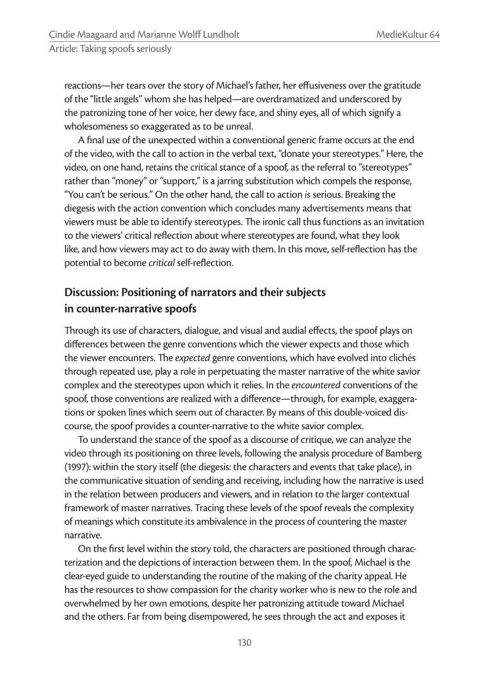reactions—her tears over the story of Michael's father, her effusiveness over the gratitude of the "little angels" whom she has helped—are overdramatized and underscored by the patronizing tone of her voice, her dewy face, and shiny eyes, all of which signify a wholesomeness so exaggerated as to be unreal.

A final use of the unexpected within a conventional generic frame occurs at the end of the video, with the call to action in the verbal text, "donate your stereotypes." Here, the video, on one hand, retains the critical stance of a spoof, as the referral to "stereotypes" rather than "money" or "support," is a jarring substitution which compels the response, "You can't be serious." On the other hand, the call to action *is* serious. Breaking the diegesis with the action convention which concludes many advertisements means that viewers must be able to identify stereotypes. The ironic call thus functions as an invitation to the viewers' critical reflection about where stereotypes are found, what they look like, and how viewers may act to do away with them. In this move, self-reflection has the potential to become *critical* self-reflection.

# **Discussion: Positioning of narrators and their subjects in counter-narrative spoofs**

Through its use of characters, dialogue, and visual and audial effects, the spoof plays on differences between the genre conventions which the viewer expects and those which the viewer encounters. The *expected* genre conventions, which have evolved into clichés through repeated use, play a role in perpetuating the master narrative of the white savior complex and the stereotypes upon which it relies. In the *encountered* conventions of the spoof, those conventions are realized with a difference—through, for example, exaggerations or spoken lines which seem out of character. By means of this double-voiced discourse, the spoof provides a counter-narrative to the white savior complex.

To understand the stance of the spoof as a discourse of critique, we can analyze the video through its positioning on three levels, following the analysis procedure of Bamberg (1997): within the story itself (the diegesis: the characters and events that take place), in the communicative situation of sending and receiving, including how the narrative is used in the relation between producers and viewers, and in relation to the larger contextual framework of master narratives. Tracing these levels of the spoof reveals the complexity of meanings which constitute its ambivalence in the process of countering the master narrative.

On the first level within the story told, the characters are positioned through characterization and the depictions of interaction between them. In the spoof, Michael is the clear-eyed guide to understanding the routine of the making of the charity appeal. He has the resources to show compassion for the charity worker who is new to the role and overwhelmed by her own emotions, despite her patronizing attitude toward Michael and the others. Far from being disempowered, he sees through the act and exposes it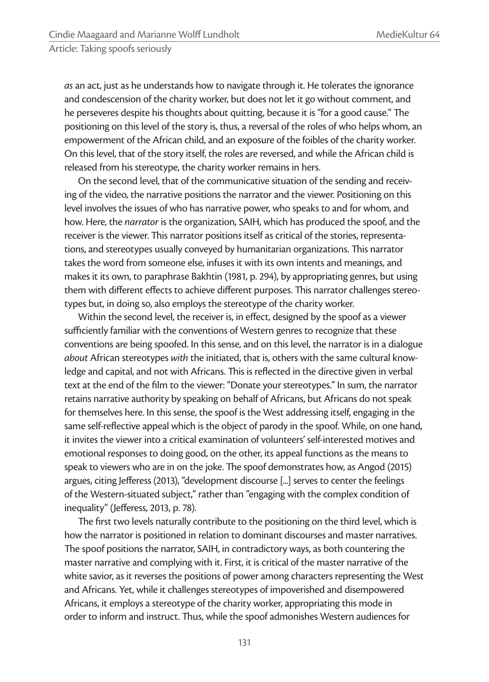*as* an act, just as he understands how to navigate through it. He tolerates the ignorance and condescension of the charity worker, but does not let it go without comment, and he perseveres despite his thoughts about quitting, because it is "for a good cause." The positioning on this level of the story is, thus, a reversal of the roles of who helps whom, an empowerment of the African child, and an exposure of the foibles of the charity worker. On this level, that of the story itself, the roles are reversed, and while the African child is released from his stereotype, the charity worker remains in hers.

On the second level, that of the communicative situation of the sending and receiving of the video, the narrative positions the narrator and the viewer. Positioning on this level involves the issues of who has narrative power, who speaks to and for whom, and how. Here, the *narrator* is the organization, SAIH, which has produced the spoof, and the receiver is the viewer. This narrator positions itself as critical of the stories, representations, and stereotypes usually conveyed by humanitarian organizations. This narrator takes the word from someone else, infuses it with its own intents and meanings, and makes it its own, to paraphrase Bakhtin (1981, p. 294), by appropriating genres, but using them with different effects to achieve different purposes. This narrator challenges stereotypes but, in doing so, also employs the stereotype of the charity worker.

Within the second level, the receiver is, in effect, designed by the spoof as a viewer sufficiently familiar with the conventions of Western genres to recognize that these conventions are being spoofed. In this sense, and on this level, the narrator is in a dialogue *about* African stereotypes *with* the initiated, that is, others with the same cultural knowledge and capital, and not with Africans. This is reflected in the directive given in verbal text at the end of the film to the viewer: "Donate your stereotypes." In sum, the narrator retains narrative authority by speaking on behalf of Africans, but Africans do not speak for themselves here. In this sense, the spoof is the West addressing itself, engaging in the same self-reflective appeal which is the object of parody in the spoof. While, on one hand, it invites the viewer into a critical examination of volunteers' self-interested motives and emotional responses to doing good, on the other, its appeal functions as the means to speak to viewers who are in on the joke. The spoof demonstrates how, as Angod (2015) argues, citing Jefferess (2013), "development discourse [...] serves to center the feelings of the Western-situated subject," rather than "engaging with the complex condition of inequality" (Jefferess, 2013, p. 78).

The first two levels naturally contribute to the positioning on the third level, which is how the narrator is positioned in relation to dominant discourses and master narratives. The spoof positions the narrator, SAIH, in contradictory ways, as both countering the master narrative and complying with it. First, it is critical of the master narrative of the white savior, as it reverses the positions of power among characters representing the West and Africans. Yet, while it challenges stereotypes of impoverished and disempowered Africans, it employs a stereotype of the charity worker, appropriating this mode in order to inform and instruct. Thus, while the spoof admonishes Western audiences for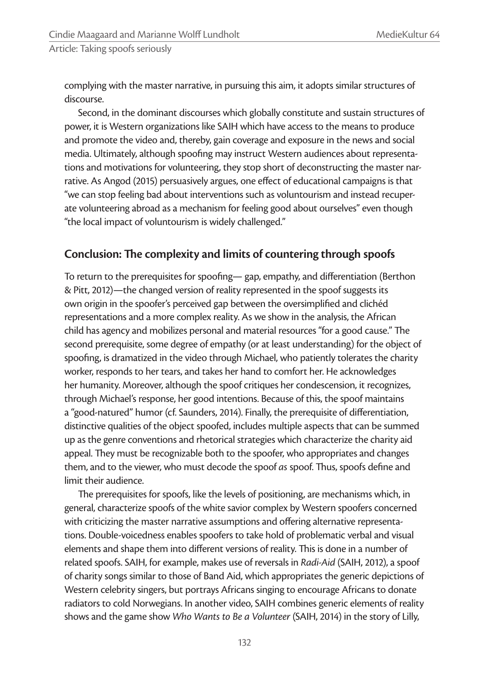complying with the master narrative, in pursuing this aim, it adopts similar structures of discourse.

Second, in the dominant discourses which globally constitute and sustain structures of power, it is Western organizations like SAIH which have access to the means to produce and promote the video and, thereby, gain coverage and exposure in the news and social media. Ultimately, although spoofing may instruct Western audiences about representations and motivations for volunteering, they stop short of deconstructing the master narrative. As Angod (2015) persuasively argues, one effect of educational campaigns is that "we can stop feeling bad about interventions such as voluntourism and instead recuperate volunteering abroad as a mechanism for feeling good about ourselves" even though "the local impact of voluntourism is widely challenged."

# **Conclusion: The complexity and limits of countering through spoofs**

To return to the prerequisites for spoofing— gap, empathy, and differentiation (Berthon & Pitt, 2012)—the changed version of reality represented in the spoof suggests its own origin in the spoofer's perceived gap between the oversimplified and clichéd representations and a more complex reality. As we show in the analysis, the African child has agency and mobilizes personal and material resources "for a good cause." The second prerequisite, some degree of empathy (or at least understanding) for the object of spoofing, is dramatized in the video through Michael, who patiently tolerates the charity worker, responds to her tears, and takes her hand to comfort her. He acknowledges her humanity. Moreover, although the spoof critiques her condescension, it recognizes, through Michael's response, her good intentions. Because of this, the spoof maintains a "good-natured" humor (cf. Saunders, 2014). Finally, the prerequisite of differentiation, distinctive qualities of the object spoofed, includes multiple aspects that can be summed up as the genre conventions and rhetorical strategies which characterize the charity aid appeal. They must be recognizable both to the spoofer, who appropriates and changes them, and to the viewer, who must decode the spoof *as* spoof. Thus, spoofs define and limit their audience.

The prerequisites for spoofs, like the levels of positioning, are mechanisms which, in general, characterize spoofs of the white savior complex by Western spoofers concerned with criticizing the master narrative assumptions and offering alternative representations. Double-voicedness enables spoofers to take hold of problematic verbal and visual elements and shape them into different versions of reality. This is done in a number of related spoofs. SAIH, for example, makes use of reversals in *Radi-Aid* (SAIH, 2012), a spoof of charity songs similar to those of Band Aid, which appropriates the generic depictions of Western celebrity singers, but portrays Africans singing to encourage Africans to donate radiators to cold Norwegians. In another video, SAIH combines generic elements of reality shows and the game show *Who Wants to Be a Volunteer* (SAIH, 2014) in the story of Lilly,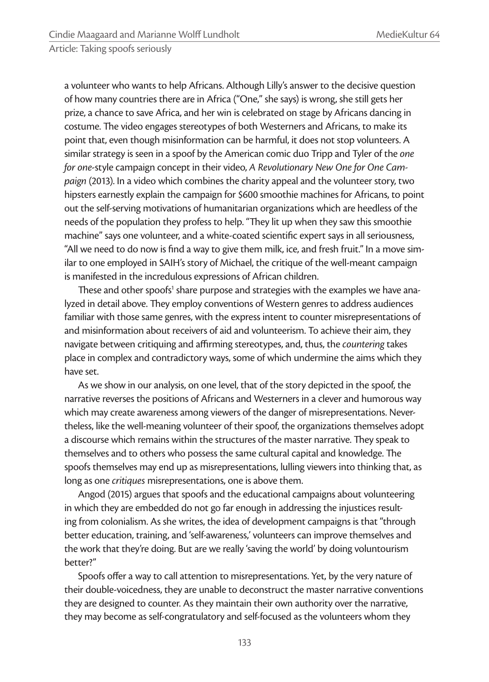a volunteer who wants to help Africans. Although Lilly's answer to the decisive question of how many countries there are in Africa ("One," she says) is wrong, she still gets her prize, a chance to save Africa, and her win is celebrated on stage by Africans dancing in costume. The video engages stereotypes of both Westerners and Africans, to make its point that, even though misinformation can be harmful, it does not stop volunteers. A similar strategy is seen in a spoof by the American comic duo Tripp and Tyler of the *one for one*-style campaign concept in their video, *A Revolutionary New One for One Campaign* (2013). In a video which combines the charity appeal and the volunteer story, two hipsters earnestly explain the campaign for \$600 smoothie machines for Africans, to point out the self-serving motivations of humanitarian organizations which are heedless of the needs of the population they profess to help. "They lit up when they saw this smoothie machine" says one volunteer, and a white-coated scientific expert says in all seriousness, "All we need to do now is find a way to give them milk, ice, and fresh fruit." In a move similar to one employed in SAIH's story of Michael, the critique of the well-meant campaign is manifested in the incredulous expressions of African children.

These and other spoofs<sup>1</sup> share purpose and strategies with the examples we have analyzed in detail above. They employ conventions of Western genres to address audiences familiar with those same genres, with the express intent to counter misrepresentations of and misinformation about receivers of aid and volunteerism. To achieve their aim, they navigate between critiquing and affirming stereotypes, and, thus, the *countering* takes place in complex and contradictory ways, some of which undermine the aims which they have set.

As we show in our analysis, on one level, that of the story depicted in the spoof, the narrative reverses the positions of Africans and Westerners in a clever and humorous way which may create awareness among viewers of the danger of misrepresentations. Nevertheless, like the well-meaning volunteer of their spoof, the organizations themselves adopt a discourse which remains within the structures of the master narrative. They speak to themselves and to others who possess the same cultural capital and knowledge. The spoofs themselves may end up as misrepresentations, lulling viewers into thinking that, as long as one *critiques* misrepresentations, one is above them.

Angod (2015) argues that spoofs and the educational campaigns about volunteering in which they are embedded do not go far enough in addressing the injustices resulting from colonialism. As she writes, the idea of development campaigns is that "through better education, training, and 'self-awareness,' volunteers can improve themselves and the work that they're doing. But are we really 'saving the world' by doing voluntourism better?"

Spoofs offer a way to call attention to misrepresentations. Yet, by the very nature of their double-voicedness, they are unable to deconstruct the master narrative conventions they are designed to counter. As they maintain their own authority over the narrative, they may become as self-congratulatory and self-focused as the volunteers whom they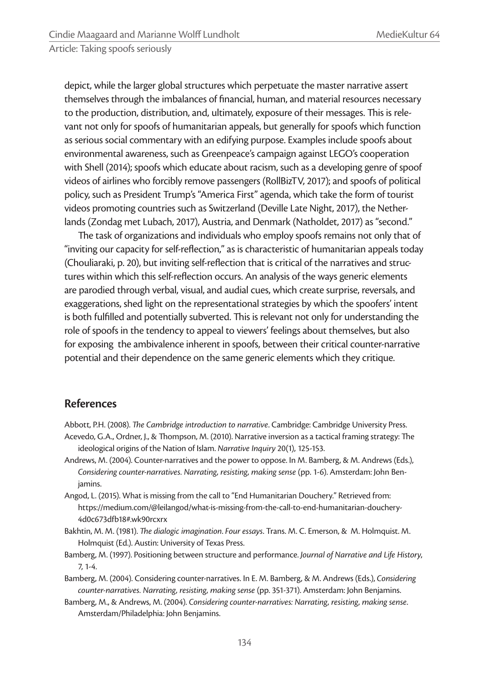depict, while the larger global structures which perpetuate the master narrative assert themselves through the imbalances of financial, human, and material resources necessary to the production, distribution, and, ultimately, exposure of their messages. This is relevant not only for spoofs of humanitarian appeals, but generally for spoofs which function as serious social commentary with an edifying purpose. Examples include spoofs about environmental awareness, such as Greenpeace's campaign against LEGO's cooperation with Shell (2014); spoofs which educate about racism, such as a developing genre of spoof videos of airlines who forcibly remove passengers (RollBizTV, 2017); and spoofs of political policy, such as President Trump's "America First" agenda, which take the form of tourist videos promoting countries such as Switzerland (Deville Late Night, 2017), the Netherlands (Zondag met Lubach, 2017), Austria, and Denmark (Natholdet, 2017) as "second."

The task of organizations and individuals who employ spoofs remains not only that of "inviting our capacity for self-reflection," as is characteristic of humanitarian appeals today (Chouliaraki, p. 20), but inviting self-reflection that is critical of the narratives and structures within which this self-reflection occurs. An analysis of the ways generic elements are parodied through verbal, visual, and audial cues, which create surprise, reversals, and exaggerations, shed light on the representational strategies by which the spoofers' intent is both fulfilled and potentially subverted. This is relevant not only for understanding the role of spoofs in the tendency to appeal to viewers' feelings about themselves, but also for exposing the ambivalence inherent in spoofs, between their critical counter-narrative potential and their dependence on the same generic elements which they critique.

#### **References**

- Abbott, P.H. (2008). *The Cambridge introduction to narrative*. Cambridge: Cambridge University Press. Acevedo, G.A., Ordner, J., & Thompson, M. (2010). Narrative inversion as a tactical framing strategy: The ideological origins of the Nation of Islam. *Narrative Inquiry* 20(1), 125-153.
- Andrews, M. (2004). Counter-narratives and the power to oppose. In M. Bamberg, & M. Andrews (Eds.), *Considering counter-narratives. Narrating, resisting, making sense* (pp. 1-6). Amsterdam: John Benjamins.
- Angod, L. (2015). What is missing from the call to "End Humanitarian Douchery." Retrieved from: https://medium.com/@leilangod/what-is-missing-from-the-call-to-end-humanitarian-douchery-4d0c673dfb18#.wk90rcxrx
- Bakhtin, M. M. (1981). *The dialogic imagination. Four essays*. Trans. M. C. Emerson, & M. Holmquist. M. Holmquist (Ed.). Austin: University of Texas Press.
- Bamberg, M. (1997). Positioning between structure and performance. *Journal of Narrative and Life History*, 7, 1-4.
- Bamberg, M. (2004). Considering counter-narratives. In E. M. Bamberg, & M. Andrews (Eds.), *Considering counter-narratives. Narrating, resisting, making sense* (pp. 351-371). Amsterdam: John Benjamins.
- Bamberg, M., & Andrews, M. (2004). *Considering counter-narratives: Narrating, resisting, making sense*. Amsterdam/Philadelphia: John Benjamins.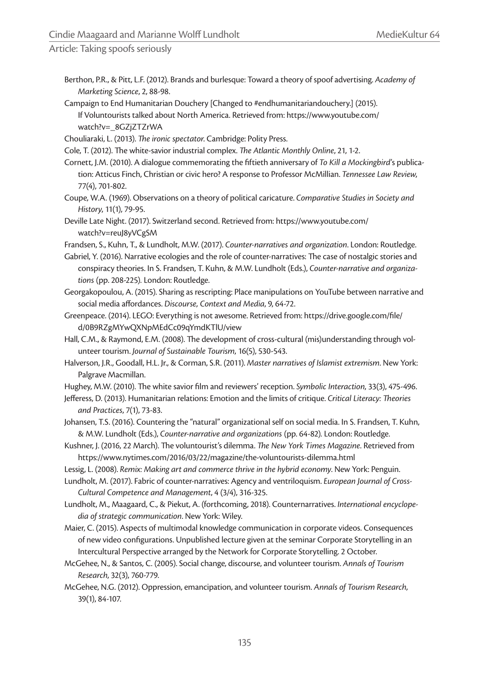Berthon, P.R., & Pitt, L.F. (2012). Brands and burlesque: Toward a theory of spoof advertising. *Academy of Marketing Science*, 2, 88-98.

Campaign to End Humanitarian Douchery [Changed to #endhumanitariandouchery.] (2015). If Voluntourists talked about North America. Retrieved from: https://www.youtube.com/ watch?v=\_8GZjZTZrWA

Chouliaraki, L. (2013). *The ironic spectator*. Cambridge: Polity Press.

Cole, T. (2012). The white-savior industrial complex. *The Atlantic Monthly Online*, 21, 1-2.

Cornett, J.M. (2010). A dialogue commemorating the fiftieth anniversary of *To Kill a Mockingbird's* publication: Atticus Finch, Christian or civic hero? A response to Professor McMillian. *Tennessee Law Review,*  77(4), 701-802.

Coupe, W.A. (1969). Observations on a theory of political caricature. *Comparative Studies in Society and History*, 11(1), 79-95.

Deville Late Night. (2017). Switzerland second. Retrieved from: https://www.youtube.com/ watch?v=reuJ8yVCgSM

Frandsen, S., Kuhn, T., & Lundholt, M.W. (2017). *Counter-narratives and organization*. London: Routledge.

Gabriel, Y. (2016). Narrative ecologies and the role of counter-narratives: The case of nostalgic stories and conspiracy theories. In S. Frandsen, T. Kuhn, & M.W. Lundholt (Eds.), *Counter-narrative and organizations* (pp. 208-225)*.* London: Routledge.

Georgakopoulou, A. (2015). Sharing as rescripting: Place manipulations on YouTube between narrative and social media affordances. Discourse, Context and Media, 9, 64-72.

Greenpeace. (2014). LEGO: Everything is not awesome. Retrieved from: https://drive.google.com/file/ d/0B9RZgMYwQXNpMEdCc09qYmdKTlU/view

Hall, C.M., & Raymond, E.M. (2008). The development of cross-cultural (mis)understanding through volunteer tourism. *Journal of Sustainable Tourism*, 16(5), 530-543.

Halverson, J.R., Goodall, H.L. Jr., & Corman, S.R. (2011). *Master narratives of Islamist extremism*. New York: Palgrave Macmillan.

Hughey, M.W. (2010). The white savior film and reviewers' reception. *Symbolic Interaction*, 33(3), 475-496.

Jefferess, D. (2013). Humanitarian relations: Emotion and the limits of critique. *Critical Literacy: Theories and Practices*, 7(1), 73-83.

- Johansen, T.S. (2016). Countering the "natural" organizational self on social media. In S. Frandsen, T. Kuhn, & M.W. Lundholt (Eds.), *Counter-narrative and organizations* (pp. 64-82)*.* London: Routledge.
- Kushner, J. (2016, 22 March). The voluntourist's dilemma. *The New York Times Magazine*. Retrieved from https://www.nytimes.com/2016/03/22/magazine/the-voluntourists-dilemma.html

Lessig, L. (2008). *Remix: Making art and commerce thrive in the hybrid economy*. New York: Penguin.

Lundholt, M. (2017). Fabric of counter-narratives: Agency and ventriloquism. *European Journal of Cross-Cultural Competence and Management*, 4 (3/4), 316-325.

Lundholt, M., Maagaard, C., & Piekut, A. (forthcoming, 2018). Counternarratives. *International encyclopedia of strategic communication*. New York: Wiley.

Maier, C. (2015). Aspects of multimodal knowledge communication in corporate videos. Consequences of new video configurations. Unpublished lecture given at the seminar Corporate Storytelling in an Intercultural Perspective arranged by the Network for Corporate Storytelling. 2 October.

McGehee, N., & Santos, C. (2005). Social change, discourse, and volunteer tourism. *Annals of Tourism Research*, 32(3), 760-779.

McGehee, N.G. (2012). Oppression, emancipation, and volunteer tourism. *Annals of Tourism Research*, 39(1), 84-107.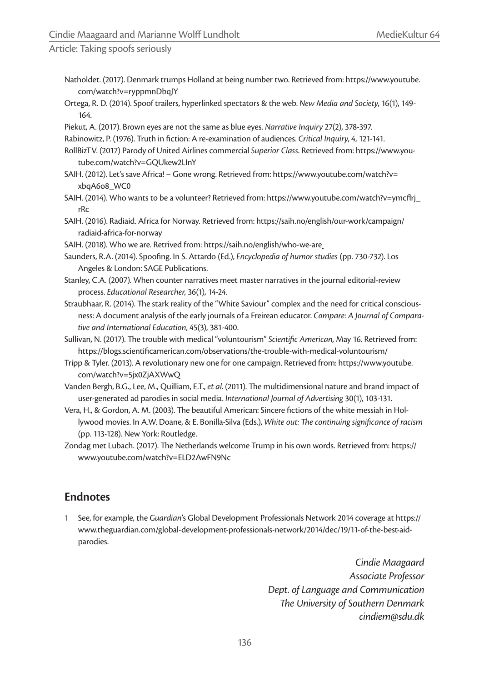Natholdet. (2017). Denmark trumps Holland at being number two. Retrieved from: https://www.youtube. com/watch?v=ryppmnDbqJY

Ortega, R. D. (2014). Spoof trailers, hyperlinked spectators & the web. *New Media and Society*, 16(1), 149- 164.

- Piekut, A. (2017). Brown eyes are not the same as blue eyes. *Narrative Inquiry* 27(2), 378-397.
- Rabinowitz, P. (1976). Truth in fiction: A re-examination of audiences. *Critical Inquiry*, 4, 121-141.
- RollBizTV. (2017) Parody of United Airlines commercial *Superior Class*. Retrieved from: https://www.youtube.com/watch?v=GQUkew2LInY
- SAIH. (2012). Let's save Africa! Gone wrong. Retrieved from: https://www.youtube.com/watch?v= xbqA6o8\_WC0
- SAIH. (2014). Who wants to be a volunteer? Retrieved from: https://www.youtube.com/watch?v=ymcflrj\_ rRc
- SAIH. (2016). Radiaid. Africa for Norway. Retrieved from: https://saih.no/english/our-work/campaign/ radiaid-africa-for-norway
- SAIH. (2018). Who we are. Retrived from: https://saih.no/english/who-we-are
- Saunders, R.A. (2014). Spoofing. In S. Attardo (Ed.), *Encyclopedia of humor studies* (pp. 730-732). Los Angeles & London: SAGE Publications.
- Stanley, C.A. (2007). When counter narratives meet master narratives in the journal editorial-review process. *Educational Researcher*, 36(1), 14-24.
- Straubhaar, R. (2014). The stark reality of the "White Saviour" complex and the need for critical consciousness: A document analysis of the early journals of a Freirean educator. *Compare: A Journal of Comparative and International Education*, 45(3), 381-400.
- Sullivan, N. (2017). The trouble with medical "voluntourism" Scientific American, May 16. Retrieved from: https://blogs.scientificamerican.com/observations/the-trouble-with-medical-voluntourism/
- Tripp & Tyler. (2013). A revolutionary new one for one campaign. Retrieved from: https://www.youtube. com/watch?v=5jx0ZjAXWwQ
- Vanden Bergh, B.G., Lee, M., Quilliam, E.T., et al. (2011). The multidimensional nature and brand impact of user-generated ad parodies in social media. *International Journal of Advertising* 30(1), 103-131.
- Vera, H., & Gordon, A. M. (2003). The beautiful American: Sincere fictions of the white messiah in Hollywood movies. In A.W. Doane, & E. Bonilla-Silva (Eds.), *White out: The continuing significance of racism* (pp. 113-128). New York: Routledge.
- Zondag met Lubach. (2017). The Netherlands welcome Trump in his own words. Retrieved from: https:// www.youtube.com/watch?v=ELD2AwFN9Nc

## **Endnotes**

 1 See, for example, the *Guardian*'s Global Development Professionals Network 2014 coverage at https:// www.theguardian.com/global-development-professionals-network/2014/dec/19/11-of-the-best-aidparodies.

> *Cindie Maagaard Associate Professor Dept. of Language and Communication The University of Southern Denmark cindiem@sdu.dk*